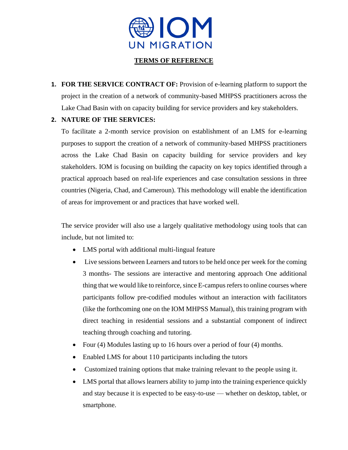

## **TERMS OF REFERENCE**

**1. FOR THE SERVICE CONTRACT OF:** Provision of e-learning platform to support the project in the creation of a network of community-based MHPSS practitioners across the Lake Chad Basin with on capacity building for service providers and key stakeholders.

## **2. NATURE OF THE SERVICES:**

To facilitate a 2-month service provision on establishment of an LMS for e-learning purposes to support the creation of a network of community-based MHPSS practitioners across the Lake Chad Basin on capacity building for service providers and key stakeholders. IOM is focusing on building the capacity on key topics identified through a practical approach based on real-life experiences and case consultation sessions in three countries (Nigeria, Chad, and Cameroun). This methodology will enable the identification of areas for improvement or and practices that have worked well.

The service provider will also use a largely qualitative methodology using tools that can include, but not limited to:

- LMS portal with additional multi-lingual feature
- Live sessions between Learners and tutors to be held once per week for the coming 3 months- The sessions are interactive and mentoring approach One additional thing that we would like to reinforce, since E-campus refers to online courses where participants follow pre-codified modules without an interaction with facilitators (like the forthcoming one on the IOM MHPSS Manual), this training program with direct teaching in residential sessions and a substantial component of indirect teaching through coaching and tutoring.
- Four (4) Modules lasting up to 16 hours over a period of four (4) months.
- Enabled LMS for about 110 participants including the tutors
- Customized training options that make training relevant to the people using it.
- LMS portal that allows learners ability to jump into the training experience quickly and stay because it is expected to be easy-to-use — whether on desktop, tablet, or smartphone.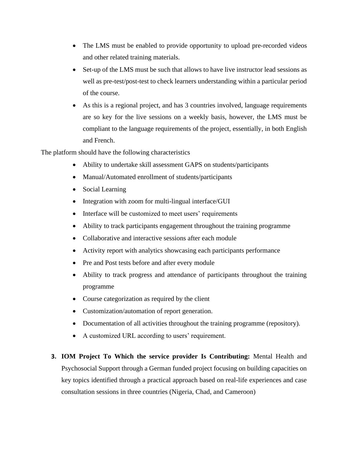- The LMS must be enabled to provide opportunity to upload pre-recorded videos and other related training materials.
- Set-up of the LMS must be such that allows to have live instructor lead sessions as well as pre-test/post-test to check learners understanding within a particular period of the course.
- As this is a regional project, and has 3 countries involved, language requirements are so key for the live sessions on a weekly basis, however, the LMS must be compliant to the language requirements of the project, essentially, in both English and French.

The platform should have the following characteristics

- Ability to undertake skill assessment GAPS on students/participants
- Manual/Automated enrollment of students/participants
- Social Learning
- Integration with zoom for multi-lingual interface/GUI
- Interface will be customized to meet users' requirements
- Ability to track participants engagement throughout the training programme
- Collaborative and interactive sessions after each module
- Activity report with analytics showcasing each participants performance
- Pre and Post tests before and after every module
- Ability to track progress and attendance of participants throughout the training programme
- Course categorization as required by the client
- Customization/automation of report generation.
- Documentation of all activities throughout the training programme (repository).
- A customized URL according to users' requirement.
- **3. IOM Project To Which the service provider Is Contributing:** Mental Health and Psychosocial Support through a German funded project focusing on building capacities on key topics identified through a practical approach based on real-life experiences and case consultation sessions in three countries (Nigeria, Chad, and Cameroon)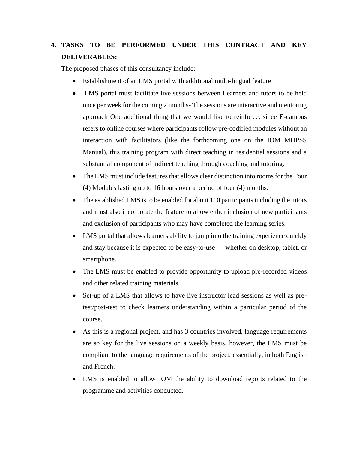## **4. TASKS TO BE PERFORMED UNDER THIS CONTRACT AND KEY DELIVERABLES:**

The proposed phases of this consultancy include:

- Establishment of an LMS portal with additional multi-lingual feature
- LMS portal must facilitate live sessions between Learners and tutors to be held once per week for the coming 2 months- The sessions are interactive and mentoring approach One additional thing that we would like to reinforce, since E-campus refers to online courses where participants follow pre-codified modules without an interaction with facilitators (like the forthcoming one on the IOM MHPSS Manual), this training program with direct teaching in residential sessions and a substantial component of indirect teaching through coaching and tutoring.
- The LMS must include features that allows clear distinction into rooms for the Four (4) Modules lasting up to 16 hours over a period of four (4) months.
- The established LMS is to be enabled for about 110 participants including the tutors and must also incorporate the feature to allow either inclusion of new participants and exclusion of participants who may have completed the learning series.
- LMS portal that allows learners ability to jump into the training experience quickly and stay because it is expected to be easy-to-use — whether on desktop, tablet, or smartphone.
- The LMS must be enabled to provide opportunity to upload pre-recorded videos and other related training materials.
- Set-up of a LMS that allows to have live instructor lead sessions as well as pretest/post-test to check learners understanding within a particular period of the course.
- As this is a regional project, and has 3 countries involved, language requirements are so key for the live sessions on a weekly basis, however, the LMS must be compliant to the language requirements of the project, essentially, in both English and French.
- LMS is enabled to allow IOM the ability to download reports related to the programme and activities conducted.